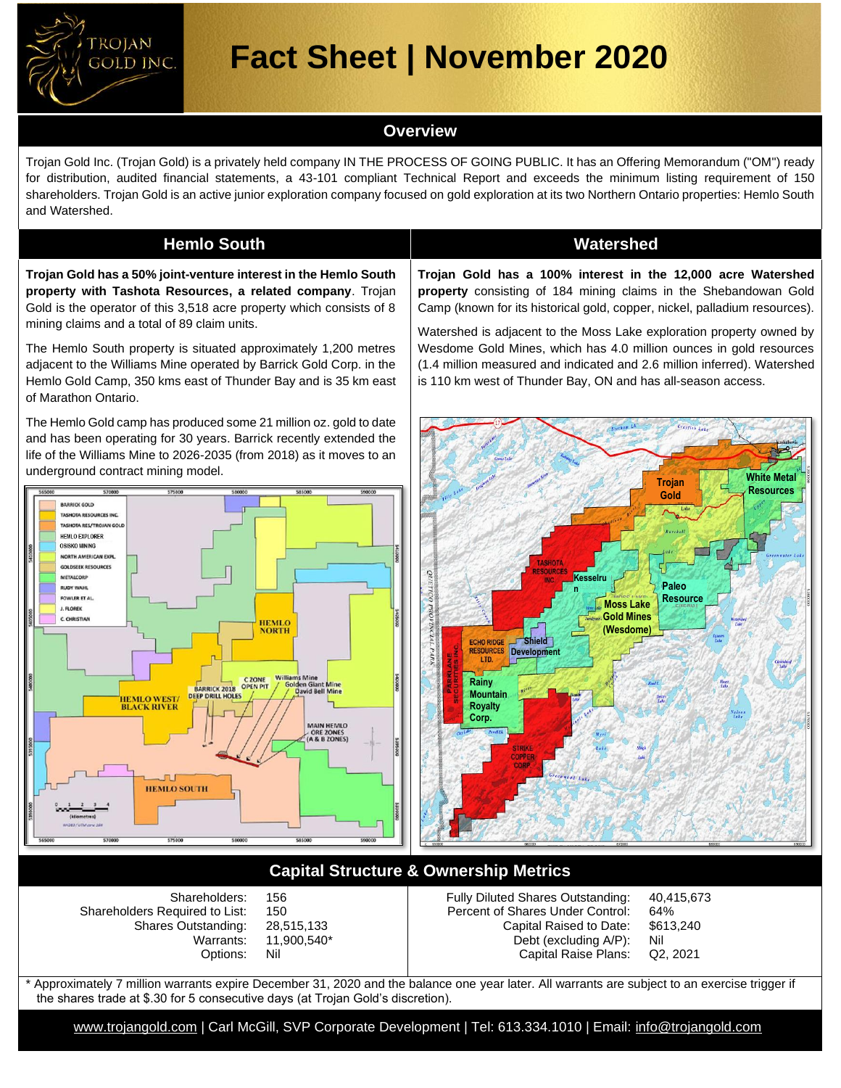

# **Fact Sheet | November 2020**

### **Overview**

Trojan Gold Inc. (Trojan Gold) is a privately held company IN THE PROCESS OF GOING PUBLIC. It has an Offering Memorandum ("OM") ready for distribution, audited financial statements, a 43-101 compliant Technical Report and exceeds the minimum listing requirement of 150 shareholders. Trojan Gold is an active junior exploration company focused on gold exploration at its two Northern Ontario properties: Hemlo South and Watershed.

### **Hemlo South Watershed**

**Trojan Gold has a 50% joint-venture interest in the Hemlo South property with Tashota Resources, a related company**. Trojan Gold is the operator of this 3,518 acre property which consists of 8 mining claims and a total of 89 claim units.

The Hemlo South property is situated approximately 1,200 metres adjacent to the Williams Mine operated by Barrick Gold Corp. in the Hemlo Gold Camp, 350 kms east of Thunder Bay and is 35 km east of Marathon Ontario.

The Hemlo Gold camp has produced some 21 million oz. gold to date and has been operating for 30 years. Barrick recently extended the life of the Williams Mine to 2026-2035 (from 2018) as it moves to an underground contract mining model.



**Trojan Gold has a 100% interest in the 12,000 acre Watershed property** consisting of 184 mining claims in the Shebandowan Gold Camp (known for its historical gold, copper, nickel, palladium resources).

Watershed is adjacent to the Moss Lake exploration property owned by Wesdome Gold Mines, which has 4.0 million ounces in gold resources (1.4 million measured and indicated and 2.6 million inferred). Watershed is 110 km west of Thunder Bay, ON and has all-season access.



## **Capital Structure & Ownership Metrics**

| Shareholders:<br>156<br>Shareholders Required to List:<br>150<br>Shares Outstanding: 28,515,133<br>Warrants:<br>11.900.540* | Fully Diluted Shares Outstanding: 40,415,673<br>Percent of Shares Under Control:<br>Capital Raised to Date:<br>Debt (excluding A/P): | 64%<br>\$613.240<br>Nil |
|-----------------------------------------------------------------------------------------------------------------------------|--------------------------------------------------------------------------------------------------------------------------------------|-------------------------|
| Nil<br>Options:                                                                                                             | Capital Raise Plans: Q2, 2021                                                                                                        |                         |

Approximately 7 million warrants expire December 31, 2020 and the balance one year later. All warrants are subject to an exercise trigger if the shares trade at \$.30 for 5 consecutive days (at Trojan Gold's discretion).

[www.trojangold.com](http://www.trojangold.com/) | Carl McGill, SVP Corporate Development | Tel: 613.334.1010 | Email: [info@trojangold.com](mailto:info@trojangold.com)